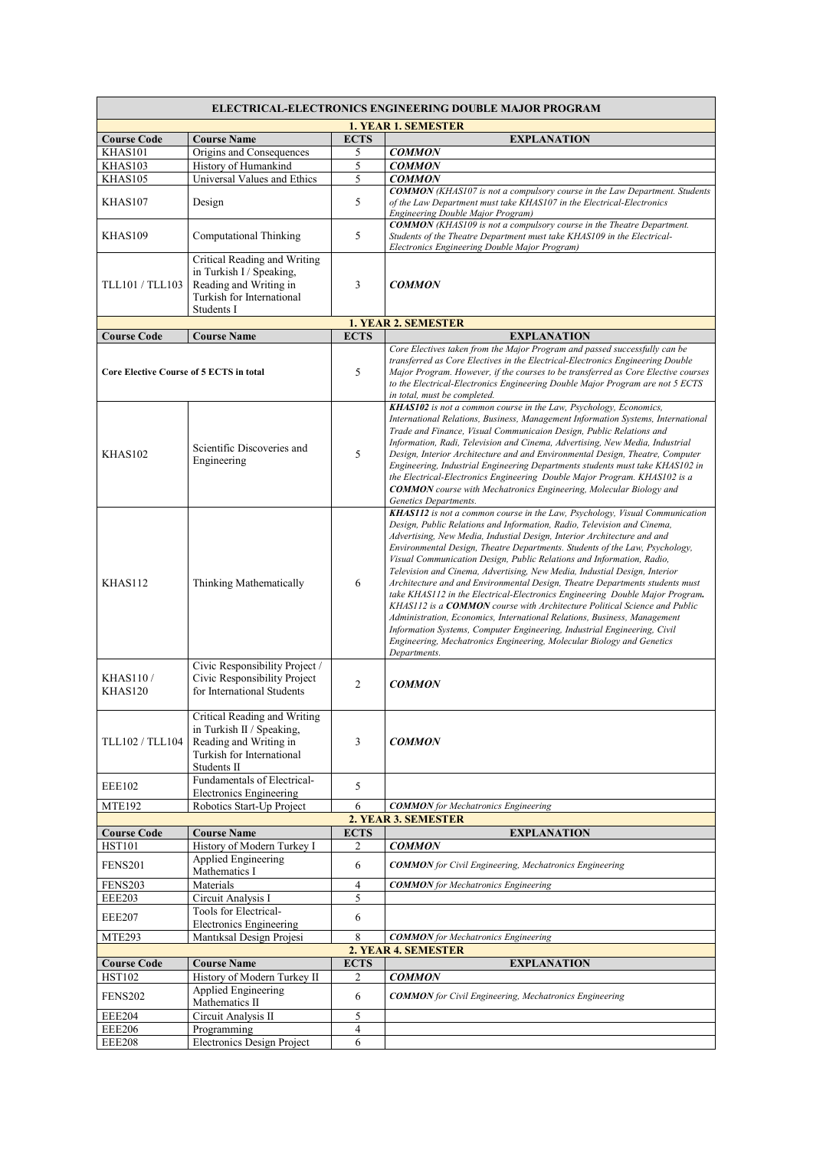| <b>ELECTRICAL-ELECTRONICS ENGINEERING DOUBLE MAJOR PROGRAM</b> |                                                                                                                                 |                |                                                                                                                                                                                                                                                                                                                                                                                                                                                                                                                                                                                                                                                                                                                                                                                                                                                                                                                                                                      |  |  |
|----------------------------------------------------------------|---------------------------------------------------------------------------------------------------------------------------------|----------------|----------------------------------------------------------------------------------------------------------------------------------------------------------------------------------------------------------------------------------------------------------------------------------------------------------------------------------------------------------------------------------------------------------------------------------------------------------------------------------------------------------------------------------------------------------------------------------------------------------------------------------------------------------------------------------------------------------------------------------------------------------------------------------------------------------------------------------------------------------------------------------------------------------------------------------------------------------------------|--|--|
|                                                                |                                                                                                                                 |                | <b>1. YEAR 1. SEMESTER</b>                                                                                                                                                                                                                                                                                                                                                                                                                                                                                                                                                                                                                                                                                                                                                                                                                                                                                                                                           |  |  |
| <b>Course Code</b>                                             | <b>Course Name</b>                                                                                                              | <b>ECTS</b>    | <b>EXPLANATION</b>                                                                                                                                                                                                                                                                                                                                                                                                                                                                                                                                                                                                                                                                                                                                                                                                                                                                                                                                                   |  |  |
| KHAS101                                                        | Origins and Consequences                                                                                                        | 5              | <b>COMMON</b>                                                                                                                                                                                                                                                                                                                                                                                                                                                                                                                                                                                                                                                                                                                                                                                                                                                                                                                                                        |  |  |
| KHAS103                                                        | History of Humankind<br>Universal Values and Ethics                                                                             | 5<br>5         | <b>COMMON</b>                                                                                                                                                                                                                                                                                                                                                                                                                                                                                                                                                                                                                                                                                                                                                                                                                                                                                                                                                        |  |  |
| KHAS105                                                        |                                                                                                                                 |                | <b>COMMON</b><br><b>COMMON</b> (KHAS107 is not a compulsory course in the Law Department. Students                                                                                                                                                                                                                                                                                                                                                                                                                                                                                                                                                                                                                                                                                                                                                                                                                                                                   |  |  |
| KHAS107                                                        | Design                                                                                                                          | 5              | of the Law Department must take KHAS107 in the Electrical-Electronics<br>Engineering Double Major Program)                                                                                                                                                                                                                                                                                                                                                                                                                                                                                                                                                                                                                                                                                                                                                                                                                                                           |  |  |
| KHAS109                                                        | Computational Thinking                                                                                                          | 5              | <b>COMMON</b> (KHAS109 is not a compulsory course in the Theatre Department.<br>Students of the Theatre Department must take KHAS109 in the Electrical-<br>Electronics Engineering Double Major Program)                                                                                                                                                                                                                                                                                                                                                                                                                                                                                                                                                                                                                                                                                                                                                             |  |  |
| TLL101 / TLL103                                                | Critical Reading and Writing<br>in Turkish I / Speaking,<br>Reading and Writing in<br>Turkish for International<br>Students I   | 3              | <b>COMMON</b>                                                                                                                                                                                                                                                                                                                                                                                                                                                                                                                                                                                                                                                                                                                                                                                                                                                                                                                                                        |  |  |
|                                                                |                                                                                                                                 |                | <b>1. YEAR 2. SEMESTER</b>                                                                                                                                                                                                                                                                                                                                                                                                                                                                                                                                                                                                                                                                                                                                                                                                                                                                                                                                           |  |  |
| <b>Course Code</b>                                             | <b>Course Name</b>                                                                                                              | <b>ECTS</b>    | <b>EXPLANATION</b>                                                                                                                                                                                                                                                                                                                                                                                                                                                                                                                                                                                                                                                                                                                                                                                                                                                                                                                                                   |  |  |
| <b>Core Elective Course of 5 ECTS in total</b>                 |                                                                                                                                 | 5              | Core Electives taken from the Major Program and passed successfully can be<br>transferred as Core Electives in the Electrical-Electronics Engineering Double<br>Major Program. However, if the courses to be transferred as Core Elective courses<br>to the Electrical-Electronics Engineering Double Major Program are not 5 ECTS<br>in total, must be completed.                                                                                                                                                                                                                                                                                                                                                                                                                                                                                                                                                                                                   |  |  |
| KHAS102                                                        | Scientific Discoveries and<br>Engineering                                                                                       | 5              | <b>KHAS102</b> is not a common course in the Law, Psychology, Economics,<br>International Relations, Business, Management Information Systems, International<br>Trade and Finance, Visual Communicaion Design, Public Relations and<br>Information, Radi, Television and Cinema, Advertising, New Media, Industrial<br>Design, Interior Architecture and and Environmental Design, Theatre, Computer<br>Engineering, Industrial Engineering Departments students must take KHAS102 in<br>the Electrical-Electronics Engineering Double Major Program, KHAS102 is a<br><b>COMMON</b> course with Mechatronics Engineering, Molecular Biology and<br>Genetics Departments.                                                                                                                                                                                                                                                                                             |  |  |
| KHAS112                                                        | Thinking Mathematically                                                                                                         | 6              | KHAS112 is not a common course in the Law, Psychology, Visual Communication<br>Design, Public Relations and Information, Radio, Television and Cinema,<br>Advertising, New Media, Industial Design, Interior Architecture and and<br>Environmental Design, Theatre Departments. Students of the Law, Psychology,<br>Visual Communication Design, Public Relations and Information, Radio,<br>Television and Cinema, Advertising, New Media, Industial Design, Interior<br>Architecture and and Environmental Design, Theatre Departments students must<br>take KHAS112 in the Electrical-Electronics Engineering Double Major Program.<br>KHAS112 is a COMMON course with Architecture Political Science and Public<br>Administration, Economics, International Relations, Business, Management<br>Information Systems, Computer Engineering, Industrial Engineering, Civil<br>Engineering, Mechatronics Engineering, Molecular Biology and Genetics<br>Departments. |  |  |
| <b>KHAS110/</b><br>KHAS120                                     | Civic Responsibility Project /<br>Civic Responsibility Project<br>for International Students                                    | $\mathfrak{2}$ | <b>COMMON</b>                                                                                                                                                                                                                                                                                                                                                                                                                                                                                                                                                                                                                                                                                                                                                                                                                                                                                                                                                        |  |  |
| TLL102 / TLL104                                                | Critical Reading and Writing<br>in Turkish II / Speaking,<br>Reading and Writing in<br>Turkish for International<br>Students II | 3              | <b>COMMON</b>                                                                                                                                                                                                                                                                                                                                                                                                                                                                                                                                                                                                                                                                                                                                                                                                                                                                                                                                                        |  |  |
| <b>EEE102</b>                                                  | Fundamentals of Electrical-<br><b>Electronics Engineering</b>                                                                   | 5              |                                                                                                                                                                                                                                                                                                                                                                                                                                                                                                                                                                                                                                                                                                                                                                                                                                                                                                                                                                      |  |  |
| <b>MTE192</b>                                                  | Robotics Start-Up Project                                                                                                       | 6              | <b>COMMON</b> for Mechatronics Engineering                                                                                                                                                                                                                                                                                                                                                                                                                                                                                                                                                                                                                                                                                                                                                                                                                                                                                                                           |  |  |
|                                                                |                                                                                                                                 |                | 2. YEAR 3. SEMESTER                                                                                                                                                                                                                                                                                                                                                                                                                                                                                                                                                                                                                                                                                                                                                                                                                                                                                                                                                  |  |  |
| <b>Course Code</b>                                             | <b>Course Name</b>                                                                                                              | <b>ECTS</b>    | <b>EXPLANATION</b>                                                                                                                                                                                                                                                                                                                                                                                                                                                                                                                                                                                                                                                                                                                                                                                                                                                                                                                                                   |  |  |
| <b>HST101</b><br><b>FENS201</b>                                | History of Modern Turkey I<br>Applied Engineering                                                                               | 2<br>6         | <b>COMMON</b><br><b>COMMON</b> for Civil Engineering, Mechatronics Engineering                                                                                                                                                                                                                                                                                                                                                                                                                                                                                                                                                                                                                                                                                                                                                                                                                                                                                       |  |  |
| <b>FENS203</b>                                                 | Mathematics I<br>Materials                                                                                                      | 4              | <b>COMMON</b> for Mechatronics Engineering                                                                                                                                                                                                                                                                                                                                                                                                                                                                                                                                                                                                                                                                                                                                                                                                                                                                                                                           |  |  |
| <b>EEE203</b>                                                  | Circuit Analysis I                                                                                                              | 5              |                                                                                                                                                                                                                                                                                                                                                                                                                                                                                                                                                                                                                                                                                                                                                                                                                                                                                                                                                                      |  |  |
| <b>EEE207</b>                                                  | Tools for Electrical-<br><b>Electronics Engineering</b>                                                                         | 6              |                                                                                                                                                                                                                                                                                                                                                                                                                                                                                                                                                                                                                                                                                                                                                                                                                                                                                                                                                                      |  |  |
| MTE293                                                         | Mantiksal Design Projesi                                                                                                        | 8              | <b>COMMON</b> for Mechatronics Engineering                                                                                                                                                                                                                                                                                                                                                                                                                                                                                                                                                                                                                                                                                                                                                                                                                                                                                                                           |  |  |
| 2. YEAR 4. SEMESTER                                            |                                                                                                                                 |                |                                                                                                                                                                                                                                                                                                                                                                                                                                                                                                                                                                                                                                                                                                                                                                                                                                                                                                                                                                      |  |  |
| <b>Course Code</b>                                             | <b>Course Name</b>                                                                                                              | <b>ECTS</b>    | <b>EXPLANATION</b>                                                                                                                                                                                                                                                                                                                                                                                                                                                                                                                                                                                                                                                                                                                                                                                                                                                                                                                                                   |  |  |
| <b>HST102</b><br><b>FENS202</b>                                | History of Modern Turkey II<br><b>Applied Engineering</b>                                                                       | 2<br>6         | <b>COMMON</b><br><b>COMMON</b> for Civil Engineering, Mechatronics Engineering                                                                                                                                                                                                                                                                                                                                                                                                                                                                                                                                                                                                                                                                                                                                                                                                                                                                                       |  |  |
|                                                                | Mathematics II                                                                                                                  |                |                                                                                                                                                                                                                                                                                                                                                                                                                                                                                                                                                                                                                                                                                                                                                                                                                                                                                                                                                                      |  |  |
| <b>EEE204</b><br><b>EEE206</b>                                 | Circuit Analysis II<br>Programming                                                                                              | 5<br>4         |                                                                                                                                                                                                                                                                                                                                                                                                                                                                                                                                                                                                                                                                                                                                                                                                                                                                                                                                                                      |  |  |
| <b>EEE208</b>                                                  | <b>Electronics Design Project</b>                                                                                               | 6              |                                                                                                                                                                                                                                                                                                                                                                                                                                                                                                                                                                                                                                                                                                                                                                                                                                                                                                                                                                      |  |  |